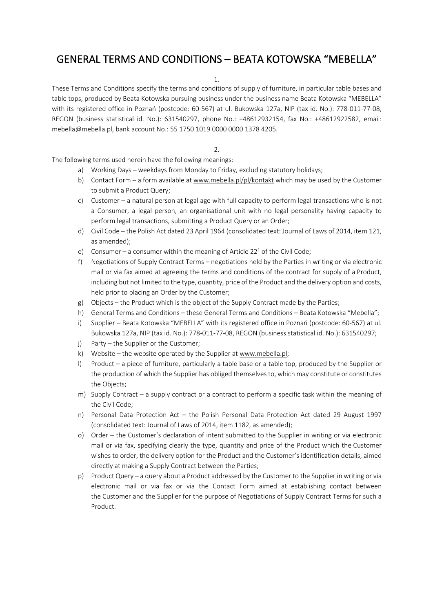# GENERAL TERMS AND CONDITIONS – BEATA KOTOWSKA "MEBELLA"

1.

These Terms and Conditions specify the terms and conditions of supply of furniture, in particular table bases and table tops, produced by Beata Kotowska pursuing business under the business name Beata Kotowska "MEBELLA" with its registered office in Poznań (postcode: 60-567) at ul. Bukowska 127a, NIP (tax id. No.): 778-011-77-08, REGON (business statistical id. No.): 631540297, phone No.: +48612932154, fax No.: +48612922582, email: mebella@mebella.pl, bank account No.: 55 1750 1019 0000 0000 1378 4205.

### $\mathcal{L}$

The following terms used herein have the following meanings:

- a) Working Days weekdays from Monday to Friday, excluding statutory holidays;
- b) Contact Form a form available at www.mebella.pl/pl/kontakt which may be used by the Customer to submit a Product Query;
- c) Customer a natural person at legal age with full capacity to perform legal transactions who is not a Consumer, a legal person, an organisational unit with no legal personality having capacity to perform legal transactions, submitting a Product Query or an Order;
- d) Civil Code the Polish Act dated 23 April 1964 (consolidated text: Journal of Laws of 2014, item 121, as amended);
- e) Consumer a consumer within the meaning of Article 22<sup>1</sup> of the Civil Code;
- f) Negotiations of Supply Contract Terms negotiations held by the Parties in writing or via electronic mail or via fax aimed at agreeing the terms and conditions of the contract for supply of a Product, including but not limited to the type, quantity, price of the Product and the delivery option and costs, held prior to placing an Order by the Customer;
- g) Objects the Product which is the object of the Supply Contract made by the Parties;
- h) General Terms and Conditions these General Terms and Conditions Beata Kotowska "Mebella";
- i) Supplier Beata Kotowska "MEBELLA" with its registered office in Poznań (postcode: 60-567) at ul. Bukowska 127a, NIP (tax id. No.): 778-011-77-08, REGON (business statistical id. No.): 631540297;
- j) Party the Supplier or the Customer;
- k) Website the website operated by the Supplier at www.mebella.pl;
- l) Product a piece of furniture, particularly a table base or a table top, produced by the Supplier or the production of which the Supplier has obliged themselves to, which may constitute or constitutes the Objects;
- m) Supply Contract a supply contract or a contract to perform a specific task within the meaning of the Civil Code;
- n) Personal Data Protection Act the Polish Personal Data Protection Act dated 29 August 1997 (consolidated text: Journal of Laws of 2014, item 1182, as amended);
- o) Order the Customer's declaration of intent submitted to the Supplier in writing or via electronic mail or via fax, specifying clearly the type, quantity and price of the Product which the Customer wishes to order, the delivery option for the Product and the Customer's identification details, aimed directly at making a Supply Contract between the Parties;
- p) Product Query a query about a Product addressed by the Customer to the Supplier in writing or via electronic mail or via fax or via the Contact Form aimed at establishing contact between the Customer and the Supplier for the purpose of Negotiations of Supply Contract Terms for such a Product.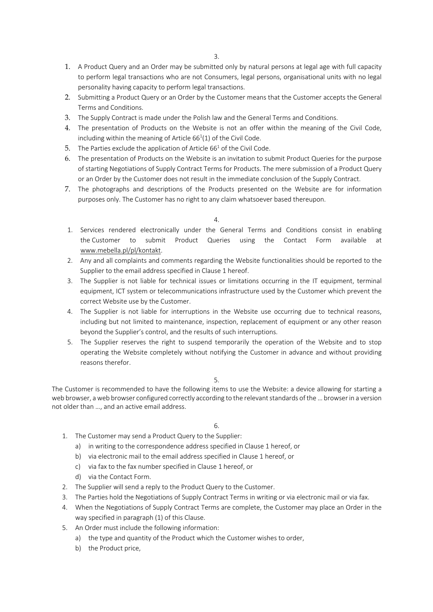- 1. A Product Query and an Order may be submitted only by natural persons at legal age with full capacity to perform legal transactions who are not Consumers, legal persons, organisational units with no legal personality having capacity to perform legal transactions.
- 2. Submitting a Product Query or an Order by the Customer means that the Customer accepts the General Terms and Conditions.
- 3. The Supply Contract is made under the Polish law and the General Terms and Conditions.
- 4. The presentation of Products on the Website is not an offer within the meaning of the Civil Code, including within the meaning of Article  $66<sup>1</sup>(1)$  of the Civil Code.
- 5. The Parties exclude the application of Article  $66<sup>1</sup>$  of the Civil Code.
- 6. The presentation of Products on the Website is an invitation to submit Product Queries for the purpose of starting Negotiations of Supply Contract Terms for Products. The mere submission of a Product Query or an Order by the Customer does not result in the immediate conclusion of the Supply Contract.
- 7. The photographs and descriptions of the Products presented on the Website are for information purposes only. The Customer has no right to any claim whatsoever based thereupon.

4.

- 1. Services rendered electronically under the General Terms and Conditions consist in enabling the Customer to submit Product Queries using the Contact Form available at www.mebella.pl/pl/kontakt.
- 2. Any and all complaints and comments regarding the Website functionalities should be reported to the Supplier to the email address specified in Clause 1 hereof.
- 3. The Supplier is not liable for technical issues or limitations occurring in the IT equipment, terminal equipment, ICT system or telecommunications infrastructure used by the Customer which prevent the correct Website use by the Customer.
- 4. The Supplier is not liable for interruptions in the Website use occurring due to technical reasons, including but not limited to maintenance, inspection, replacement of equipment or any other reason beyond the Supplier's control, and the results of such interruptions.
- 5. The Supplier reserves the right to suspend temporarily the operation of the Website and to stop operating the Website completely without notifying the Customer in advance and without providing reasons therefor.

#### 5.

The Customer is recommended to have the following items to use the Website: a device allowing for starting a web browser, a web browser configured correctly according to the relevant standards of the ... browser in a version not older than …, and an active email address.

#### 6.

- 1. The Customer may send a Product Query to the Supplier:
	- a) in writing to the correspondence address specified in Clause 1 hereof, or
	- b) via electronic mail to the email address specified in Clause 1 hereof, or
	- c) via fax to the fax number specified in Clause 1 hereof, or
	- d) via the Contact Form.
- 2. The Supplier will send a reply to the Product Query to the Customer.
- 3. The Parties hold the Negotiations of Supply Contract Terms in writing or via electronic mail or via fax.
- 4. When the Negotiations of Supply Contract Terms are complete, the Customer may place an Order in the way specified in paragraph (1) of this Clause.
- 5. An Order must include the following information:
	- a) the type and quantity of the Product which the Customer wishes to order,
	- b) the Product price,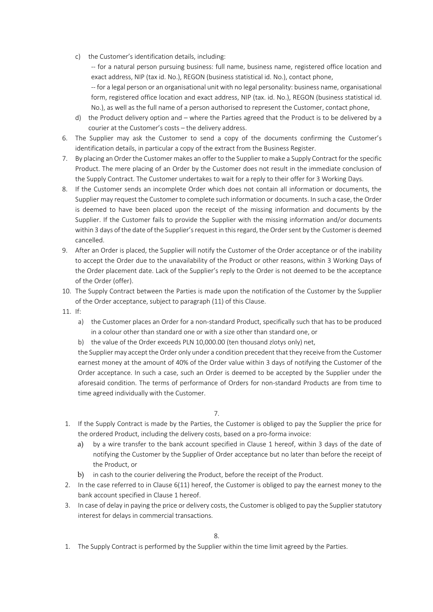c) the Customer's identification details, including:

-- for a natural person pursuing business: full name, business name, registered office location and exact address, NIP (tax id. No.), REGON (business statistical id. No.), contact phone,

-- for a legal person or an organisational unit with no legal personality: business name, organisational form, registered office location and exact address, NIP (tax. id. No.), REGON (business statistical id. No.), as well as the full name of a person authorised to represent the Customer, contact phone,

- d) the Product delivery option and where the Parties agreed that the Product is to be delivered by a courier at the Customer's costs – the delivery address.
- 6. The Supplier may ask the Customer to send a copy of the documents confirming the Customer's identification details, in particular a copy of the extract from the Business Register.
- 7. By placing an Order the Customer makes an offer to the Supplier to make a Supply Contract for the specific Product. The mere placing of an Order by the Customer does not result in the immediate conclusion of the Supply Contract. The Customer undertakes to wait for a reply to their offer for 3 Working Days.
- 8. If the Customer sends an incomplete Order which does not contain all information or documents, the Supplier may request the Customer to complete such information or documents. In such a case, the Order is deemed to have been placed upon the receipt of the missing information and documents by the Supplier. If the Customer fails to provide the Supplier with the missing information and/or documents within 3 days of the date of the Supplier's request in this regard, the Order sent by the Customer is deemed cancelled.
- 9. After an Order is placed, the Supplier will notify the Customer of the Order acceptance or of the inability to accept the Order due to the unavailability of the Product or other reasons, within 3 Working Days of the Order placement date. Lack of the Supplier's reply to the Order is not deemed to be the acceptance of the Order (offer).
- 10. The Supply Contract between the Parties is made upon the notification of the Customer by the Supplier of the Order acceptance, subject to paragraph (11) of this Clause.
- 11. If:
	- a) the Customer places an Order for a non-standard Product, specifically such that has to be produced in a colour other than standard one or with a size other than standard one, or
	- b) the value of the Order exceeds PLN 10,000.00 (ten thousand zlotys only) net,

the Supplier may accept the Order only under a condition precedent that they receive from the Customer earnest money at the amount of 40% of the Order value within 3 days of notifying the Customer of the Order acceptance. In such a case, such an Order is deemed to be accepted by the Supplier under the aforesaid condition. The terms of performance of Orders for non-standard Products are from time to time agreed individually with the Customer.

- 7.
- 1. If the Supply Contract is made by the Parties, the Customer is obliged to pay the Supplier the price for the ordered Product, including the delivery costs, based on a pro-forma invoice:
	- a) by a wire transfer to the bank account specified in Clause 1 hereof, within 3 days of the date of notifying the Customer by the Supplier of Order acceptance but no later than before the receipt of the Product, or
	- b) in cash to the courier delivering the Product, before the receipt of the Product.
- 2. In the case referred to in Clause 6(11) hereof, the Customer is obliged to pay the earnest money to the bank account specified in Clause 1 hereof.
- 3. In case of delay in paying the price or delivery costs, the Customer is obliged to pay the Supplier statutory interest for delays in commercial transactions.

1. The Supply Contract is performed by the Supplier within the time limit agreed by the Parties.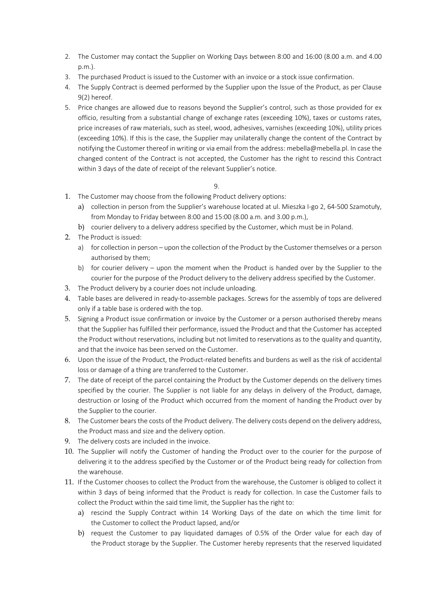- 2. The Customer may contact the Supplier on Working Days between 8:00 and 16:00 (8.00 a.m. and 4.00 p.m.).
- 3. The purchased Product is issued to the Customer with an invoice or a stock issue confirmation.
- 4. The Supply Contract is deemed performed by the Supplier upon the Issue of the Product, as per Clause 9(2) hereof.
- 5. Price changes are allowed due to reasons beyond the Supplier's control, such as those provided for ex officio, resulting from a substantial change of exchange rates (exceeding 10%), taxes or customs rates, price increases of raw materials, such as steel, wood, adhesives, varnishes (exceeding 10%), utility prices (exceeding 10%). If this is the case, the Supplier may unilaterally change the content of the Contract by notifying the Customer thereof in writing or via email from the address: mebella@mebella.pl. In case the changed content of the Contract is not accepted, the Customer has the right to rescind this Contract within 3 days of the date of receipt of the relevant Supplier's notice.

## 9.

- 1. The Customer may choose from the following Product delivery options:
	- a) collection in person from the Supplier's warehouse located at ul. Mieszka I-go 2, 64-500 Szamotuły, from Monday to Friday between 8:00 and 15:00 (8.00 a.m. and 3.00 p.m.),
	- b) courier delivery to a delivery address specified by the Customer, which must be in Poland.
- 2. The Product is issued:
	- a) for collection in person upon the collection of the Product by the Customer themselves or a person authorised by them;
	- b) for courier delivery upon the moment when the Product is handed over by the Supplier to the courier for the purpose of the Product delivery to the delivery address specified by the Customer.
- 3. The Product delivery by a courier does not include unloading.
- 4. Table bases are delivered in ready-to-assemble packages. Screws for the assembly of tops are delivered only if a table base is ordered with the top.
- 5. Signing a Product issue confirmation or invoice by the Customer or a person authorised thereby means that the Supplier has fulfilled their performance, issued the Product and that the Customer has accepted the Product without reservations, including but not limited to reservations as to the quality and quantity, and that the invoice has been served on the Customer.
- 6. Upon the issue of the Product, the Product-related benefits and burdens as well as the risk of accidental loss or damage of a thing are transferred to the Customer.
- 7. The date of receipt of the parcel containing the Product by the Customer depends on the delivery times specified by the courier. The Supplier is not liable for any delays in delivery of the Product, damage, destruction or losing of the Product which occurred from the moment of handing the Product over by the Supplier to the courier.
- 8. The Customer bears the costs of the Product delivery. The delivery costs depend on the delivery address, the Product mass and size and the delivery option.
- 9. The delivery costs are included in the invoice.
- 10. The Supplier will notify the Customer of handing the Product over to the courier for the purpose of delivering it to the address specified by the Customer or of the Product being ready for collection from the warehouse.
- 11. If the Customer chooses to collect the Product from the warehouse, the Customer is obliged to collect it within 3 days of being informed that the Product is ready for collection. In case the Customer fails to collect the Product within the said time limit, the Supplier has the right to:
	- a) rescind the Supply Contract within 14 Working Days of the date on which the time limit for the Customer to collect the Product lapsed, and/or
	- b) request the Customer to pay liquidated damages of 0.5% of the Order value for each day of the Product storage by the Supplier. The Customer hereby represents that the reserved liquidated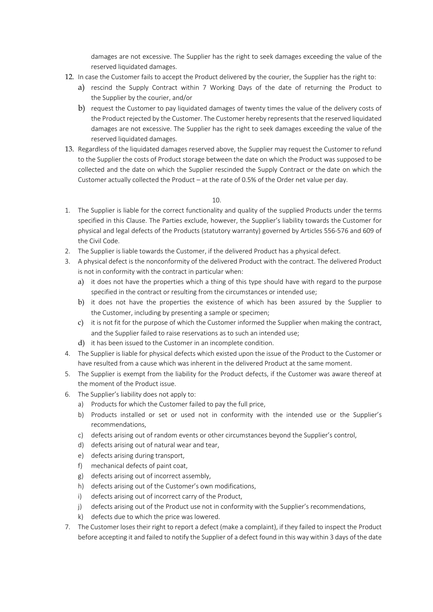damages are not excessive. The Supplier has the right to seek damages exceeding the value of the reserved liquidated damages.

- 12. In case the Customer fails to accept the Product delivered by the courier, the Supplier has the right to:
	- a) rescind the Supply Contract within 7 Working Days of the date of returning the Product to the Supplier by the courier, and/or
	- b) request the Customer to pay liquidated damages of twenty times the value of the delivery costs of the Product rejected by the Customer. The Customer hereby represents that the reserved liquidated damages are not excessive. The Supplier has the right to seek damages exceeding the value of the reserved liquidated damages.
- 13. Regardless of the liquidated damages reserved above, the Supplier may request the Customer to refund to the Supplier the costs of Product storage between the date on which the Product was supposed to be collected and the date on which the Supplier rescinded the Supply Contract or the date on which the Customer actually collected the Product – at the rate of 0.5% of the Order net value per day.

 $1<sub>0</sub>$ 

- 1. The Supplier is liable for the correct functionality and quality of the supplied Products under the terms specified in this Clause. The Parties exclude, however, the Supplier's liability towards the Customer for physical and legal defects of the Products (statutory warranty) governed by Articles 556-576 and 609 of the Civil Code.
- 2. The Supplier is liable towards the Customer, if the delivered Product has a physical defect.
- 3. A physical defect is the nonconformity of the delivered Product with the contract. The delivered Product is not in conformity with the contract in particular when:
	- a) it does not have the properties which a thing of this type should have with regard to the purpose specified in the contract or resulting from the circumstances or intended use;
	- b) it does not have the properties the existence of which has been assured by the Supplier to the Customer, including by presenting a sample or specimen;
	- c) it is not fit for the purpose of which the Customer informed the Supplier when making the contract, and the Supplier failed to raise reservations as to such an intended use;
	- d) it has been issued to the Customer in an incomplete condition.
- 4. The Supplier is liable for physical defects which existed upon the issue of the Product to the Customer or have resulted from a cause which was inherent in the delivered Product at the same moment.
- 5. The Supplier is exempt from the liability for the Product defects, if the Customer was aware thereof at the moment of the Product issue.
- 6. The Supplier's liability does not apply to:
	- a) Products for which the Customer failed to pay the full price,
	- b) Products installed or set or used not in conformity with the intended use or the Supplier's recommendations,
	- c) defects arising out of random events or other circumstances beyond the Supplier's control,
	- d) defects arising out of natural wear and tear,
	- e) defects arising during transport,
	- f) mechanical defects of paint coat,
	- g) defects arising out of incorrect assembly,
	- h) defects arising out of the Customer's own modifications,
	- i) defects arising out of incorrect carry of the Product,
	- j) defects arising out of the Product use not in conformity with the Supplier's recommendations,
	- k) defects due to which the price was lowered.
- 7. The Customer loses their right to report a defect (make a complaint), if they failed to inspect the Product before accepting it and failed to notify the Supplier of a defect found in this way within 3 days of the date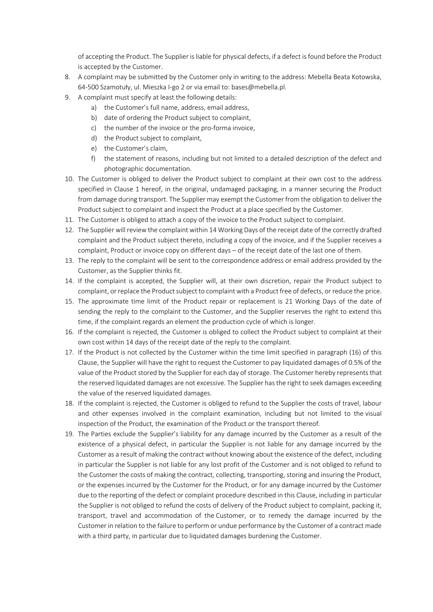of accepting the Product. The Supplier is liable for physical defects, if a defect is found before the Product is accepted by the Customer.

- 8. A complaint may be submitted by the Customer only in writing to the address: Mebella Beata Kotowska, 64-500 Szamotuły, ul. Mieszka I-go 2 or via email to: bases@mebella.pl.
- 9. A complaint must specify at least the following details:
	- a) the Customer's full name, address, email address,
	- b) date of ordering the Product subject to complaint,
	- c) the number of the invoice or the pro-forma invoice,
	- d) the Product subject to complaint,
	- e) the Customer's claim,
	- f) the statement of reasons, including but not limited to a detailed description of the defect and photographic documentation.
- 10. The Customer is obliged to deliver the Product subject to complaint at their own cost to the address specified in Clause 1 hereof, in the original, undamaged packaging, in a manner securing the Product from damage during transport. The Supplier may exempt the Customer from the obligation to deliver the Product subject to complaint and inspect the Product at a place specified by the Customer.
- 11. The Customer is obliged to attach a copy of the invoice to the Product subject to complaint.
- 12. The Supplier will review the complaint within 14 Working Days of the receipt date of the correctly drafted complaint and the Product subject thereto, including a copy of the invoice, and if the Supplier receives a complaint, Product or invoice copy on different days – of the receipt date of the last one of them.
- 13. The reply to the complaint will be sent to the correspondence address or email address provided by the Customer, as the Supplier thinks fit.
- 14. If the complaint is accepted, the Supplier will, at their own discretion, repair the Product subject to complaint, or replace the Product subject to complaint with a Product free of defects, or reduce the price.
- 15. The approximate time limit of the Product repair or replacement is 21 Working Days of the date of sending the reply to the complaint to the Customer, and the Supplier reserves the right to extend this time, if the complaint regards an element the production cycle of which is longer.
- 16. If the complaint is rejected, the Customer is obliged to collect the Product subject to complaint at their own cost within 14 days of the receipt date of the reply to the complaint.
- 17. If the Product is not collected by the Customer within the time limit specified in paragraph (16) of this Clause, the Supplier will have the right to request the Customer to pay liquidated damages of 0.5% of the value of the Product stored by the Supplier for each day of storage. The Customer hereby represents that the reserved liquidated damages are not excessive. The Supplier has the right to seek damages exceeding the value of the reserved liquidated damages.
- 18. If the complaint is rejected, the Customer is obliged to refund to the Supplier the costs of travel, labour and other expenses involved in the complaint examination, including but not limited to the visual inspection of the Product, the examination of the Product or the transport thereof.
- 19. The Parties exclude the Supplier's liability for any damage incurred by the Customer as a result of the existence of a physical defect, in particular the Supplier is not liable for any damage incurred by the Customer as a result of making the contract without knowing about the existence of the defect, including in particular the Supplier is not liable for any lost profit of the Customer and is not obliged to refund to the Customer the costs of making the contract, collecting, transporting, storing and insuring the Product, or the expenses incurred by the Customer for the Product, or for any damage incurred by the Customer due to the reporting of the defect or complaint procedure described in this Clause, including in particular the Supplier is not obliged to refund the costs of delivery of the Product subject to complaint, packing it, transport, travel and accommodation of the Customer, or to remedy the damage incurred by the Customer in relation to the failure to perform or undue performance by the Customer of a contract made with a third party, in particular due to liquidated damages burdening the Customer.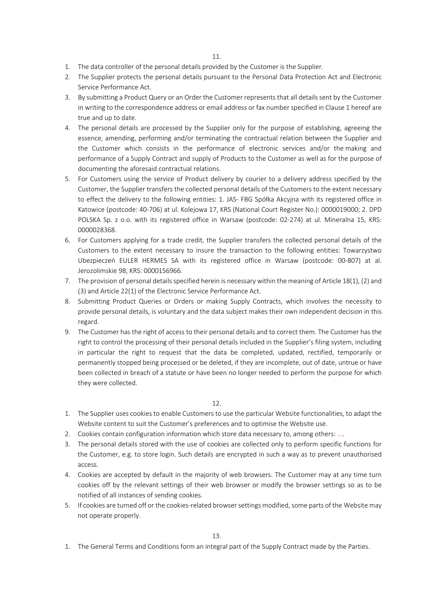- 1. The data controller of the personal details provided by the Customer is the Supplier.
- 2. The Supplier protects the personal details pursuant to the Personal Data Protection Act and Electronic Service Performance Act.
- 3. By submitting a Product Query or an Order the Customer represents that all details sent by the Customer in writing to the correspondence address or email address or fax number specified in Clause 1 hereof are true and up to date.
- 4. The personal details are processed by the Supplier only for the purpose of establishing, agreeing the essence, amending, performing and/or terminating the contractual relation between the Supplier and the Customer which consists in the performance of electronic services and/or the making and performance of a Supply Contract and supply of Products to the Customer as well as for the purpose of documenting the aforesaid contractual relations.
- 5. For Customers using the service of Product delivery by courier to a delivery address specified by the Customer, the Supplier transfers the collected personal details of the Customers to the extent necessary to effect the delivery to the following entities: 1. JAS- FBG Spółka Akcyjna with its registered office in Katowice (postcode: 40-706) at ul. Kolejowa 17, KRS (National Court Register No.): 0000019000; 2. DPD POLSKA Sp. z o.o. with its registered office in Warsaw (postcode: 02-274) at ul. Mineralna 15, KRS: 0000028368.
- 6. For Customers applying for a trade credit, the Supplier transfers the collected personal details of the Customers to the extent necessary to insure the transaction to the following entities: Towarzystwo Ubezpieczeń EULER HERMES SA with its registered office in Warsaw (postcode: 00-807) at al. Jerozolimskie 98, KRS: 0000156966.
- 7. The provision of personal details specified herein is necessary within the meaning of Article 18(1), (2) and (3) and Article 22(1) of the Electronic Service Performance Act.
- 8. Submitting Product Queries or Orders or making Supply Contracts, which involves the necessity to provide personal details, is voluntary and the data subject makes their own independent decision in this regard.
- 9. The Customer has the right of access to their personal details and to correct them. The Customer has the right to control the processing of their personal details included in the Supplier's filing system, including in particular the right to request that the data be completed, updated, rectified, temporarily or permanently stopped being processed or be deleted, if they are incomplete, out of date, untrue or have been collected in breach of a statute or have been no longer needed to perform the purpose for which they were collected.

12.

- 1. The Supplier uses cookies to enable Customers to use the particular Website functionalities, to adapt the Website content to suit the Customer's preferences and to optimise the Website use.
- 2. Cookies contain configuration information which store data necessary to, among others: ....
- 3. The personal details stored with the use of cookies are collected only to perform specific functions for the Customer, e.g. to store login. Such details are encrypted in such a way as to prevent unauthorised access.
- 4. Cookies are accepted by default in the majority of web browsers. The Customer may at any time turn cookies off by the relevant settings of their web browser or modify the browser settings so as to be notified of all instances of sending cookies.
- 5. If cookies are turned off or the cookies-related browser settings modified, some parts of the Website may not operate properly.

1. The General Terms and Conditions form an integral part of the Supply Contract made by the Parties.